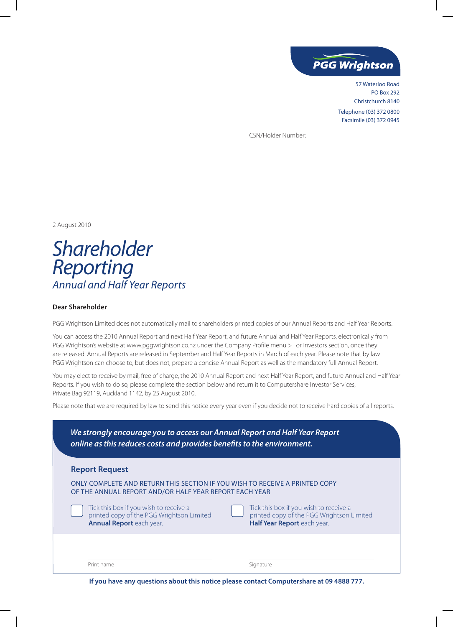

57 Waterloo Road PO Box 292 Christchurch 8140 Telephone (03) 372 0800 Facsimile (03) 372 0945

CSN/Holder Number:

2 August 2010

*Shareholder Reporting Annual and Half Year Reports*

## **Dear Shareholder**

PGG Wrightson Limited does not automatically mail to shareholders printed copies of our Annual Reports and Half Year Reports.

You can access the 2010 Annual Report and next Half Year Report, and future Annual and Half Year Reports, electronically from PGG Wrightson's website at www.pggwrightson.co.nz under the Company Profile menu > For Investors section, once they are released. Annual Reports are released in September and Half Year Reports in March of each year. Please note that by law PGG Wrightson can choose to, but does not, prepare a concise Annual Report as well as the mandatory full Annual Report.

You may elect to receive by mail, free of charge, the 2010 Annual Report and next Half Year Report, and future Annual and Half Year Reports. If you wish to do so, please complete the section below and return it to Computershare Investor Services, Private Bag 92119, Auckland 1142, by 25 August 2010.

Please note that we are required by law to send this notice every year even if you decide not to receive hard copies of all reports.

| <b>Report Request</b>                                                                                                                 |                                                                                                                    |
|---------------------------------------------------------------------------------------------------------------------------------------|--------------------------------------------------------------------------------------------------------------------|
| ONLY COMPLETE AND RETURN THIS SECTION IF YOU WISH TO RECEIVE A PRINTED COPY<br>OF THE ANNUAL REPORT AND/OR HALF YEAR REPORT EACH YEAR |                                                                                                                    |
| Tick this box if you wish to receive a<br>printed copy of the PGG Wrightson Limited<br><b>Annual Report</b> each year.                | Tick this box if you wish to receive a<br>printed copy of the PGG Wrightson Limited<br>Half Year Report each year. |

**If you have any questions about this notice please contact Computershare at 09 4888 777.**